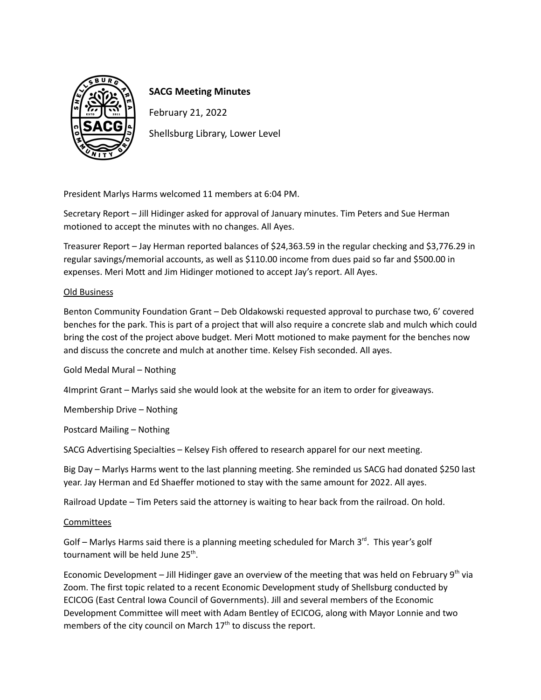

## **SACG Meeting Minutes**

February 21, 2022

Shellsburg Library, Lower Level

President Marlys Harms welcomed 11 members at 6:04 PM.

Secretary Report – Jill Hidinger asked for approval of January minutes. Tim Peters and Sue Herman motioned to accept the minutes with no changes. All Ayes.

Treasurer Report – Jay Herman reported balances of \$24,363.59 in the regular checking and \$3,776.29 in regular savings/memorial accounts, as well as \$110.00 income from dues paid so far and \$500.00 in expenses. Meri Mott and Jim Hidinger motioned to accept Jay's report. All Ayes.

## Old Business

Benton Community Foundation Grant – Deb Oldakowski requested approval to purchase two, 6' covered benches for the park. This is part of a project that will also require a concrete slab and mulch which could bring the cost of the project above budget. Meri Mott motioned to make payment for the benches now and discuss the concrete and mulch at another time. Kelsey Fish seconded. All ayes.

Gold Medal Mural – Nothing

4Imprint Grant – Marlys said she would look at the website for an item to order for giveaways.

Membership Drive – Nothing

Postcard Mailing – Nothing

SACG Advertising Specialties – Kelsey Fish offered to research apparel for our next meeting.

Big Day – Marlys Harms went to the last planning meeting. She reminded us SACG had donated \$250 last year. Jay Herman and Ed Shaeffer motioned to stay with the same amount for 2022. All ayes.

Railroad Update – Tim Peters said the attorney is waiting to hear back from the railroad. On hold.

## **Committees**

Golf - Marlys Harms said there is a planning meeting scheduled for March 3<sup>rd</sup>. This year's golf tournament will be held June 25<sup>th</sup>.

Economic Development – Jill Hidinger gave an overview of the meeting that was held on February 9<sup>th</sup> via Zoom. The first topic related to a recent Economic Development study of Shellsburg conducted by ECICOG (East Central Iowa Council of Governments). Jill and several members of the Economic Development Committee will meet with Adam Bentley of ECICOG, along with Mayor Lonnie and two members of the city council on March 17<sup>th</sup> to discuss the report.